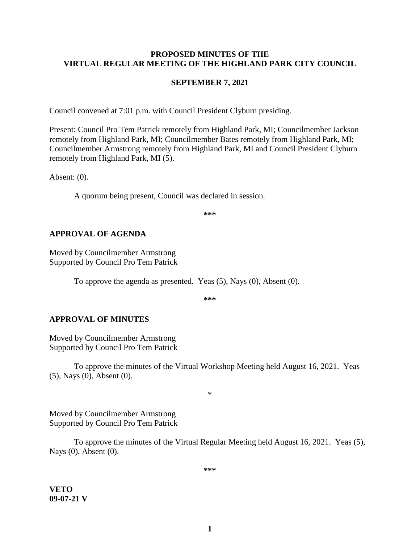### **PROPOSED MINUTES OF THE VIRTUAL REGULAR MEETING OF THE HIGHLAND PARK CITY COUNCIL**

#### **SEPTEMBER 7, 2021**

Council convened at 7:01 p.m. with Council President Clyburn presiding.

Present: Council Pro Tem Patrick remotely from Highland Park, MI; Councilmember Jackson remotely from Highland Park, MI; Councilmember Bates remotely from Highland Park, MI; Councilmember Armstrong remotely from Highland Park, MI and Council President Clyburn remotely from Highland Park, MI (5).

Absent: (0).

A quorum being present, Council was declared in session.

**\*\*\***

### **APPROVAL OF AGENDA**

Moved by Councilmember Armstrong Supported by Council Pro Tem Patrick

To approve the agenda as presented. Yeas (5), Nays (0), Absent (0).

**\*\*\***

#### **APPROVAL OF MINUTES**

Moved by Councilmember Armstrong Supported by Council Pro Tem Patrick

To approve the minutes of the Virtual Workshop Meeting held August 16, 2021.Yeas (5), Nays (0), Absent (0).

\*

Moved by Councilmember Armstrong Supported by Council Pro Tem Patrick

To approve the minutes of the Virtual Regular Meeting held August 16, 2021.Yeas (5), Nays (0), Absent (0).

**\*\*\***

**VETO 09-07-21 V**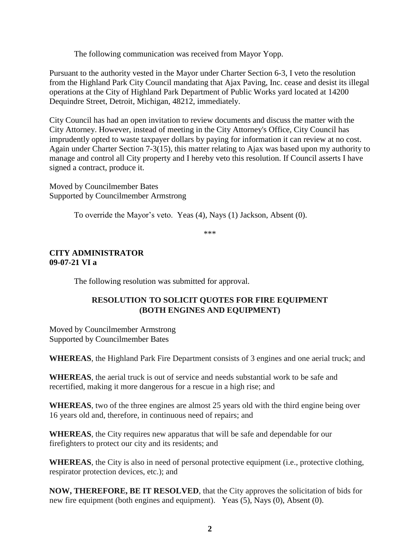The following communication was received from Mayor Yopp.

Pursuant to the authority vested in the Mayor under Charter Section 6-3, I veto the resolution from the Highland Park City Council mandating that Ajax Paving, Inc. cease and desist its illegal operations at the City of Highland Park Department of Public Works yard located at 14200 Dequindre Street, Detroit, Michigan, 48212, immediately.

City Council has had an open invitation to review documents and discuss the matter with the City Attorney. However, instead of meeting in the City Attorney's Office, City Council has imprudently opted to waste taxpayer dollars by paying for information it can review at no cost. Again under Charter Section 7-3(15), this matter relating to Ajax was based upon my authority to manage and control all City property and I hereby veto this resolution. If Council asserts I have signed a contract, produce it.

Moved by Councilmember Bates Supported by Councilmember Armstrong

To override the Mayor's veto. Yeas (4), Nays (1) Jackson, Absent (0).

\*\*\*

## **CITY ADMINISTRATOR 09-07-21 VI a**

The following resolution was submitted for approval.

## **RESOLUTION TO SOLICIT QUOTES FOR FIRE EQUIPMENT (BOTH ENGINES AND EQUIPMENT)**

Moved by Councilmember Armstrong Supported by Councilmember Bates

**WHEREAS**, the Highland Park Fire Department consists of 3 engines and one aerial truck; and

**WHEREAS**, the aerial truck is out of service and needs substantial work to be safe and recertified, making it more dangerous for a rescue in a high rise; and

**WHEREAS**, two of the three engines are almost 25 years old with the third engine being over 16 years old and, therefore, in continuous need of repairs; and

**WHEREAS**, the City requires new apparatus that will be safe and dependable for our firefighters to protect our city and its residents; and

**WHEREAS**, the City is also in need of personal protective equipment (i.e., protective clothing, respirator protection devices, etc.); and

**NOW, THEREFORE, BE IT RESOLVED**, that the City approves the solicitation of bids for new fire equipment (both engines and equipment). Yeas (5), Nays (0), Absent (0).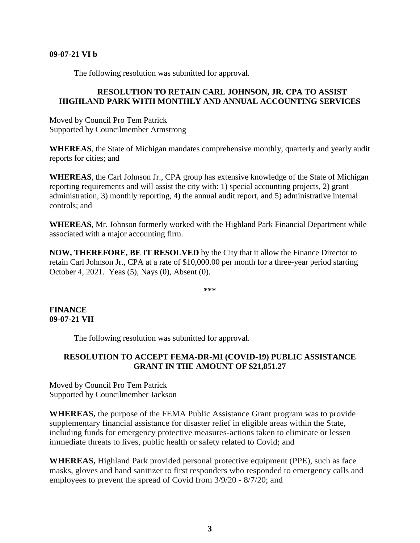#### **09-07-21 VI b**

The following resolution was submitted for approval.

## **RESOLUTION TO RETAIN CARL JOHNSON, JR. CPA TO ASSIST HIGHLAND PARK WITH MONTHLY AND ANNUAL ACCOUNTING SERVICES**

Moved by Council Pro Tem Patrick Supported by Councilmember Armstrong

**WHEREAS**, the State of Michigan mandates comprehensive monthly, quarterly and yearly audit reports for cities; and

**WHEREAS**, the Carl Johnson Jr., CPA group has extensive knowledge of the State of Michigan reporting requirements and will assist the city with: 1) special accounting projects, 2) grant administration, 3) monthly reporting, 4) the annual audit report, and 5) administrative internal controls; and

**WHEREAS**, Mr. Johnson formerly worked with the Highland Park Financial Department while associated with a major accounting firm.

**NOW, THEREFORE, BE IT RESOLVED** by the City that it allow the Finance Director to retain Carl Johnson Jr., CPA at a rate of \$10,000.00 per month for a three-year period starting October 4, 2021. Yeas (5), Nays (0), Absent (0).

**\*\*\***

### **FINANCE 09-07-21 VII**

The following resolution was submitted for approval.

## **RESOLUTION TO ACCEPT FEMA-DR-MI (COVID-19) PUBLIC ASSISTANCE GRANT IN THE AMOUNT OF \$21,851.27**

Moved by Council Pro Tem Patrick Supported by Councilmember Jackson

**WHEREAS,** the purpose of the FEMA Public Assistance Grant program was to provide supplementary financial assistance for disaster relief in eligible areas within the State, including funds for emergency protective measures-actions taken to eliminate or lessen immediate threats to lives, public health or safety related to Covid; and

**WHEREAS,** Highland Park provided personal protective equipment (PPE), such as face masks, gloves and hand sanitizer to first responders who responded to emergency calls and employees to prevent the spread of Covid from 3/9/20 - 8/7/20; and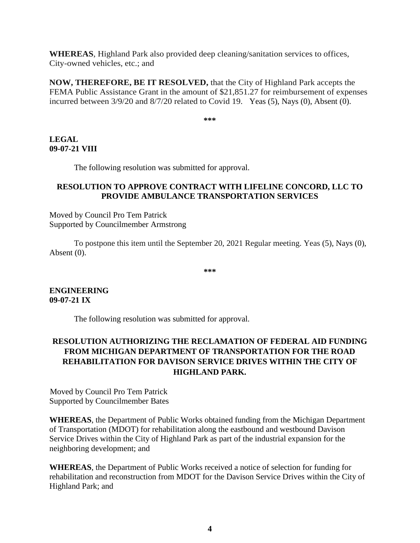**WHEREAS**, Highland Park also provided deep cleaning/sanitation services to offices, City-owned vehicles, etc.; and

**NOW, THEREFORE, BE IT RESOLVED,** that the City of Highland Park accepts the FEMA Public Assistance Grant in the amount of \$21,851.27 for reimbursement of expenses incurred between 3/9/20 and 8/7/20 related to Covid 19. Yeas (5), Nays (0), Absent (0).

**\*\*\***

## **LEGAL 09-07-21 VIII**

The following resolution was submitted for approval.

## **RESOLUTION TO APPROVE CONTRACT WITH LIFELINE CONCORD, LLC TO PROVIDE AMBULANCE TRANSPORTATION SERVICES**

Moved by Council Pro Tem Patrick Supported by Councilmember Armstrong

To postpone this item until the September 20, 2021 Regular meeting. Yeas (5), Nays (0), Absent (0).

**\*\*\***

**ENGINEERING 09-07-21 IX**

The following resolution was submitted for approval.

# **RESOLUTION AUTHORIZING THE RECLAMATION OF FEDERAL AID FUNDING FROM MICHIGAN DEPARTMENT OF TRANSPORTATION FOR THE ROAD REHABILITATION FOR DAVISON SERVICE DRIVES WITHIN THE CITY OF HIGHLAND PARK.**

Moved by Council Pro Tem Patrick Supported by Councilmember Bates

**WHEREAS**, the Department of Public Works obtained funding from the Michigan Department of Transportation (MDOT) for rehabilitation along the eastbound and westbound Davison Service Drives within the City of Highland Park as part of the industrial expansion for the neighboring development; and

**WHEREAS**, the Department of Public Works received a notice of selection for funding for rehabilitation and reconstruction from MDOT for the Davison Service Drives within the City of Highland Park; and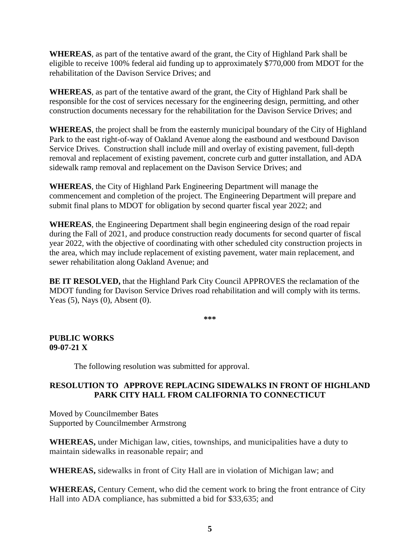**WHEREAS**, as part of the tentative award of the grant, the City of Highland Park shall be eligible to receive 100% federal aid funding up to approximately \$770,000 from MDOT for the rehabilitation of the Davison Service Drives; and

**WHEREAS**, as part of the tentative award of the grant, the City of Highland Park shall be responsible for the cost of services necessary for the engineering design, permitting, and other construction documents necessary for the rehabilitation for the Davison Service Drives; and

**WHEREAS**, the project shall be from the easternly municipal boundary of the City of Highland Park to the east right-of-way of Oakland Avenue along the eastbound and westbound Davison Service Drives. Construction shall include mill and overlay of existing pavement, full-depth removal and replacement of existing pavement, concrete curb and gutter installation, and ADA sidewalk ramp removal and replacement on the Davison Service Drives; and

**WHEREAS**, the City of Highland Park Engineering Department will manage the commencement and completion of the project. The Engineering Department will prepare and submit final plans to MDOT for obligation by second quarter fiscal year 2022; and

**WHEREAS**, the Engineering Department shall begin engineering design of the road repair during the Fall of 2021, and produce construction ready documents for second quarter of fiscal year 2022, with the objective of coordinating with other scheduled city construction projects in the area, which may include replacement of existing pavement, water main replacement, and sewer rehabilitation along Oakland Avenue; and

**BE IT RESOLVED,** that the Highland Park City Council APPROVES the reclamation of the MDOT funding for Davison Service Drives road rehabilitation and will comply with its terms. Yeas (5), Nays (0), Absent (0).

**\*\*\***

## **PUBLIC WORKS 09-07-21 X**

The following resolution was submitted for approval.

## **RESOLUTION TO APPROVE REPLACING SIDEWALKS IN FRONT OF HIGHLAND PARK CITY HALL FROM CALIFORNIA TO CONNECTICUT**

Moved by Councilmember Bates Supported by Councilmember Armstrong

**WHEREAS,** under Michigan law, cities, townships, and municipalities have a duty to maintain sidewalks in reasonable repair; and

**WHEREAS,** sidewalks in front of City Hall are in violation of Michigan law; and

**WHEREAS,** Century Cement, who did the cement work to bring the front entrance of City Hall into ADA compliance, has submitted a bid for \$33,635; and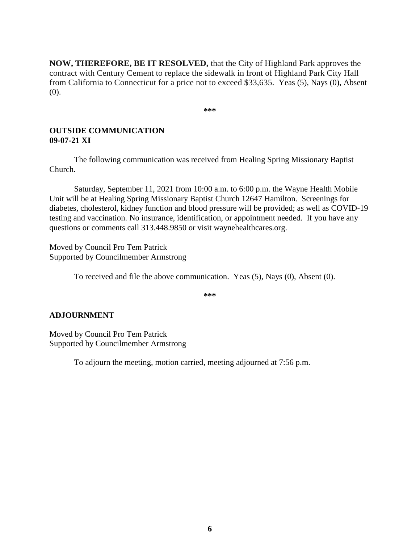**NOW, THEREFORE, BE IT RESOLVED,** that the City of Highland Park approves the contract with Century Cement to replace the sidewalk in front of Highland Park City Hall from California to Connecticut for a price not to exceed \$33,635. Yeas (5), Nays (0), Absent (0).

**\*\*\***

## **OUTSIDE COMMUNICATION 09-07-21 XI**

The following communication was received from Healing Spring Missionary Baptist Church.

Saturday, September 11, 2021 from 10:00 a.m. to 6:00 p.m. the Wayne Health Mobile Unit will be at Healing Spring Missionary Baptist Church 12647 Hamilton. Screenings for diabetes, cholesterol, kidney function and blood pressure will be provided; as well as COVID-19 testing and vaccination. No insurance, identification, or appointment needed. If you have any questions or comments call 313.448.9850 or visit waynehealthcares.org.

Moved by Council Pro Tem Patrick Supported by Councilmember Armstrong

To received and file the above communication. Yeas (5), Nays (0), Absent (0).

**\*\*\***

## **ADJOURNMENT**

Moved by Council Pro Tem Patrick Supported by Councilmember Armstrong

To adjourn the meeting, motion carried, meeting adjourned at 7:56 p.m.